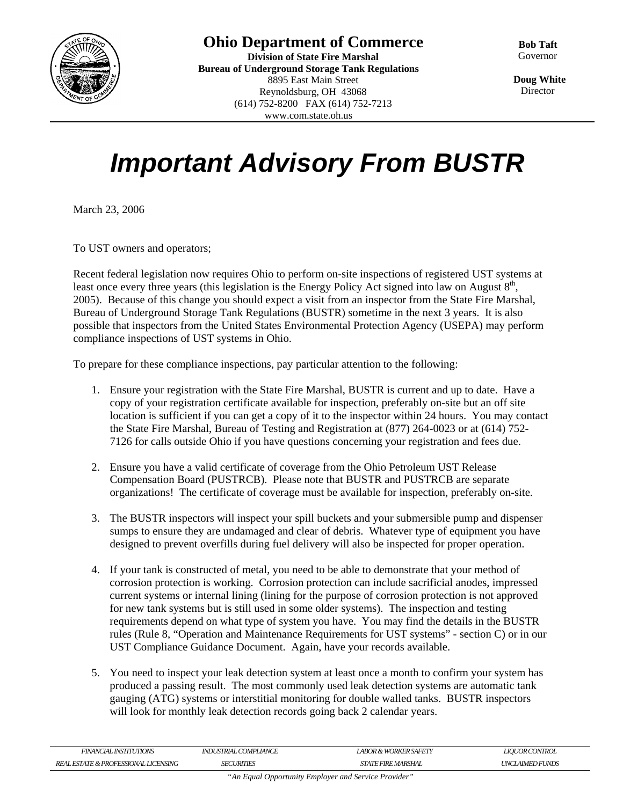

www.com.state.oh.us

**Bob Taft** Governor

 **Doug White Director** 

## *Important Advisory From BUSTR*

March 23, 2006

To UST owners and operators;

Recent federal legislation now requires Ohio to perform on-site inspections of registered UST systems at least once every three years (this legislation is the Energy Policy Act signed into law on August  $8<sup>th</sup>$ , 2005). Because of this change you should expect a visit from an inspector from the State Fire Marshal, Bureau of Underground Storage Tank Regulations (BUSTR) sometime in the next 3 years. It is also possible that inspectors from the United States Environmental Protection Agency (USEPA) may perform compliance inspections of UST systems in Ohio.

To prepare for these compliance inspections, pay particular attention to the following:

- 1. Ensure your registration with the State Fire Marshal, BUSTR is current and up to date. Have a copy of your registration certificate available for inspection, preferably on-site but an off site location is sufficient if you can get a copy of it to the inspector within 24 hours. You may contact the State Fire Marshal, Bureau of Testing and Registration at (877) 264-0023 or at (614) 752- 7126 for calls outside Ohio if you have questions concerning your registration and fees due.
- 2. Ensure you have a valid certificate of coverage from the Ohio Petroleum UST Release Compensation Board (PUSTRCB). Please note that BUSTR and PUSTRCB are separate organizations! The certificate of coverage must be available for inspection, preferably on-site.
- 3. The BUSTR inspectors will inspect your spill buckets and your submersible pump and dispenser sumps to ensure they are undamaged and clear of debris. Whatever type of equipment you have designed to prevent overfills during fuel delivery will also be inspected for proper operation.
- 4. If your tank is constructed of metal, you need to be able to demonstrate that your method of corrosion protection is working. Corrosion protection can include sacrificial anodes, impressed current systems or internal lining (lining for the purpose of corrosion protection is not approved for new tank systems but is still used in some older systems). The inspection and testing requirements depend on what type of system you have. You may find the details in the BUSTR rules (Rule 8, "Operation and Maintenance Requirements for UST systems" - section C) or in our UST Compliance Guidance Document. Again, have your records available.
- 5. You need to inspect your leak detection system at least once a month to confirm your system has produced a passing result. The most commonly used leak detection systems are automatic tank gauging (ATG) systems or interstitial monitoring for double walled tanks. BUSTR inspectors will look for monthly leak detection records going back 2 calendar years.

| FINANCIAL INSTITUTIONS                               | INDUSTRIAL COMPLIANCE | LABOR & WORKER SAFETY    | <b>LIOUOR CONTROL</b>        |
|------------------------------------------------------|-----------------------|--------------------------|------------------------------|
| A PROFESSIONAL<br><b>LICENSING</b><br>RFA.<br>ESTATE | <b>URITIES</b><br>CE7 | MARSHAL:<br>FIRE<br>STAT | LAIMED FUNDS<br><b>i</b> INC |

*"An Equal Opportunity Employer and Service Provider"*